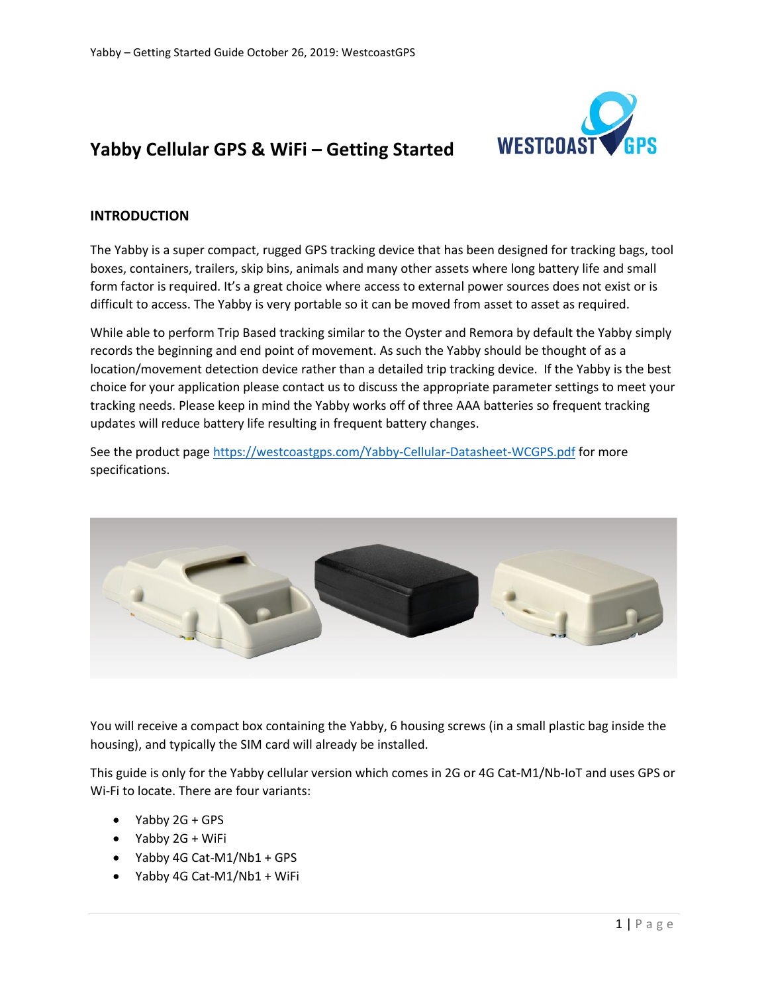

# **Yabby Cellular GPS & WiFi – Getting Started**

#### **INTRODUCTION**

The Yabby is a super compact, rugged GPS tracking device that has been designed for tracking bags, tool boxes, containers, trailers, skip bins, animals and many other assets where long battery life and small form factor is required. It's a great choice where access to external power sources does not exist or is difficult to access. The Yabby is very portable so it can be moved from asset to asset as required.

While able to perform Trip Based tracking similar to the Oyster and Remora by default the Yabby simply records the beginning and end point of movement. As such the Yabby should be thought of as a location/movement detection device rather than a detailed trip tracking device. If the Yabby is the best choice for your application please contact us to discuss the appropriate parameter settings to meet your tracking needs. Please keep in mind the Yabby works off of three AAA batteries so frequent tracking updates will reduce battery life resulting in frequent battery changes.

See the product page [https://westcoastgps.com/Yabby-Cellular-Datasheet-WCGPS.pdf](https://westcoastgps.com/Oyster-Cellular-Datasheet-WCGPS.pdf) for more specifications.



You will receive a compact box containing the Yabby, 6 housing screws (in a small plastic bag inside the housing), and typically the SIM card will already be installed.

This guide is only for the Yabby cellular version which comes in 2G or 4G Cat-M1/Nb-IoT and uses GPS or Wi-Fi to locate. There are four variants:

- Yabby 2G + GPS
- Yabby 2G + WiFi
- Yabby 4G Cat-M1/Nb1 + GPS
- Yabby 4G Cat-M1/Nb1 + WiFi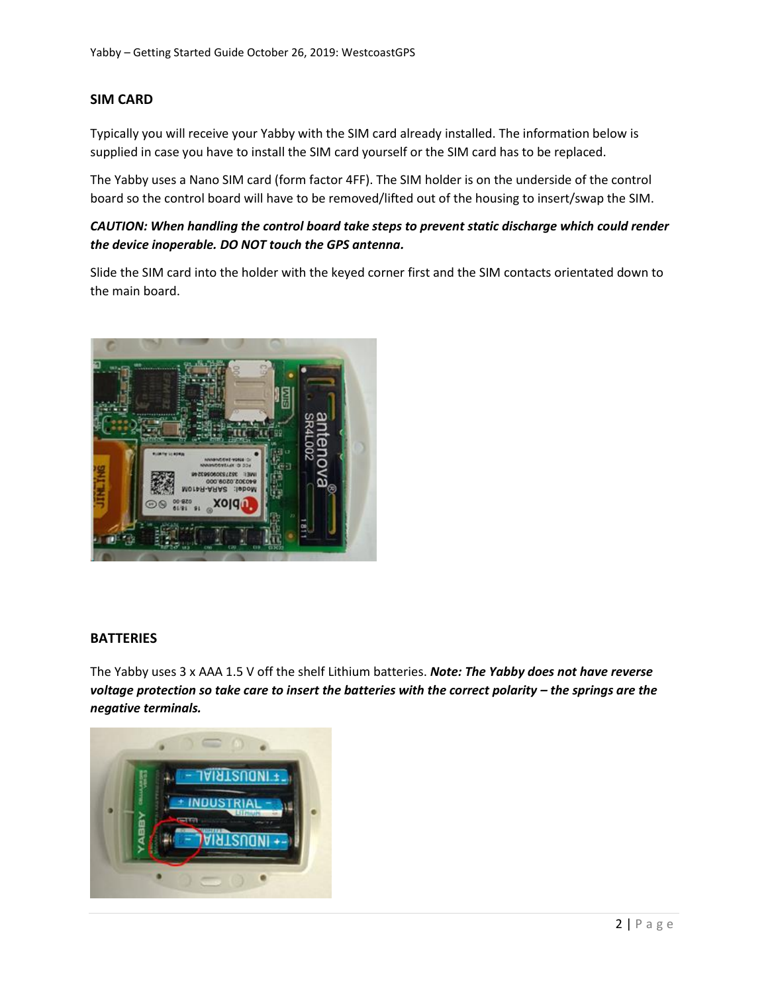# **SIM CARD**

Typically you will receive your Yabby with the SIM card already installed. The information below is supplied in case you have to install the SIM card yourself or the SIM card has to be replaced.

The Yabby uses a Nano SIM card (form factor 4FF). The SIM holder is on the underside of the control board so the control board will have to be removed/lifted out of the housing to insert/swap the SIM.

# *CAUTION: When handling the control board take steps to prevent static discharge which could render the device inoperable. DO NOT touch the GPS antenna.*

Slide the SIM card into the holder with the keyed corner first and the SIM contacts orientated down to the main board.



#### **BATTERIES**

The Yabby uses 3 x AAA 1.5 V off the shelf Lithium batteries. *Note: The Yabby does not have reverse voltage protection so take care to insert the batteries with the correct polarity – the springs are the negative terminals.*

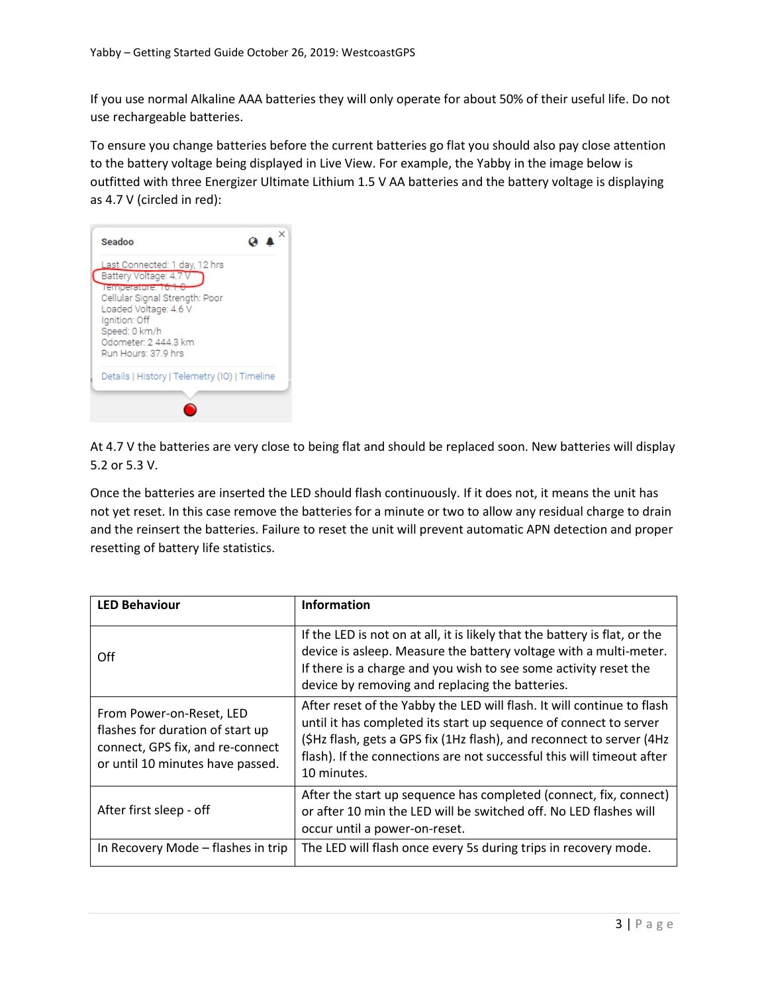If you use normal Alkaline AAA batteries they will only operate for about 50% of their useful life. Do not use rechargeable batteries.

To ensure you change batteries before the current batteries go flat you should also pay close attention to the battery voltage being displayed in Live View. For example, the Yabby in the image below is outfitted with three Energizer Ultimate Lithium 1.5 V AA batteries and the battery voltage is displaying as 4.7 V (circled in red):



At 4.7 V the batteries are very close to being flat and should be replaced soon. New batteries will display 5.2 or 5.3 V.

Once the batteries are inserted the LED should flash continuously. If it does not, it means the unit has not yet reset. In this case remove the batteries for a minute or two to allow any residual charge to drain and the reinsert the batteries. Failure to reset the unit will prevent automatic APN detection and proper resetting of battery life statistics.

| <b>LED Behaviour</b>                                                                                                                 | <b>Information</b>                                                                                                                                                                                                                                                                                           |
|--------------------------------------------------------------------------------------------------------------------------------------|--------------------------------------------------------------------------------------------------------------------------------------------------------------------------------------------------------------------------------------------------------------------------------------------------------------|
| Off                                                                                                                                  | If the LED is not on at all, it is likely that the battery is flat, or the<br>device is asleep. Measure the battery voltage with a multi-meter.<br>If there is a charge and you wish to see some activity reset the<br>device by removing and replacing the batteries.                                       |
| From Power-on-Reset, LED<br>flashes for duration of start up<br>connect, GPS fix, and re-connect<br>or until 10 minutes have passed. | After reset of the Yabby the LED will flash. It will continue to flash<br>until it has completed its start up sequence of connect to server<br>(\$Hz flash, gets a GPS fix (1Hz flash), and reconnect to server (4Hz<br>flash). If the connections are not successful this will timeout after<br>10 minutes. |
| After first sleep - off                                                                                                              | After the start up sequence has completed (connect, fix, connect)<br>or after 10 min the LED will be switched off. No LED flashes will<br>occur until a power-on-reset.                                                                                                                                      |
| In Recovery Mode - flashes in trip                                                                                                   | The LED will flash once every 5s during trips in recovery mode.                                                                                                                                                                                                                                              |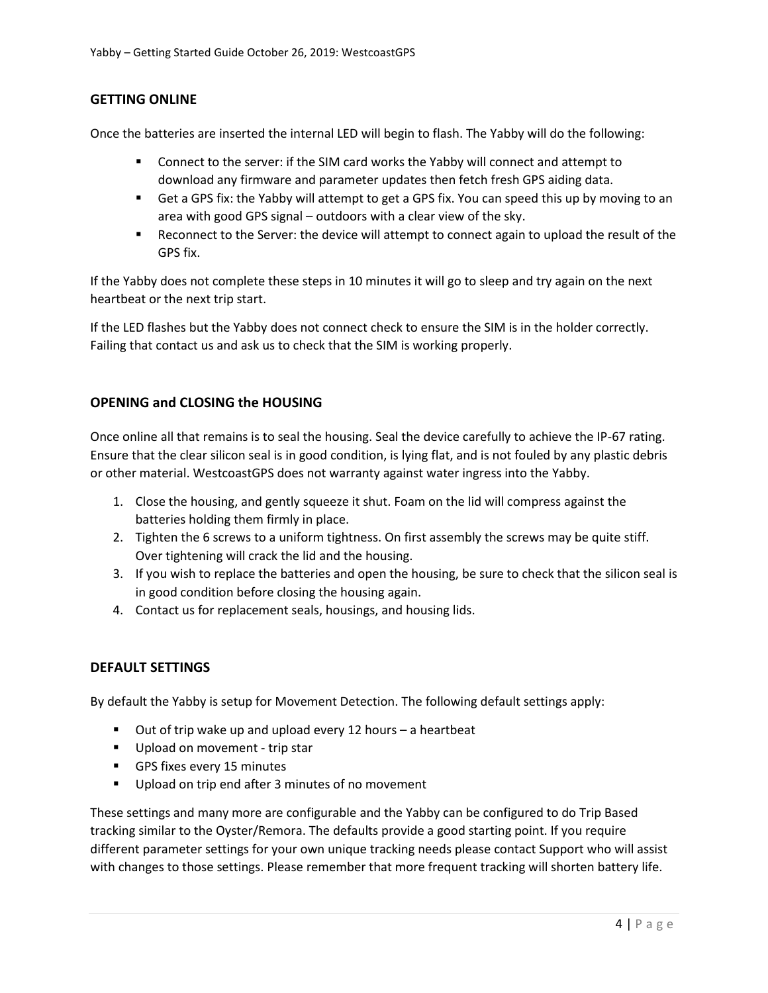# **GETTING ONLINE**

Once the batteries are inserted the internal LED will begin to flash. The Yabby will do the following:

- Connect to the server: if the SIM card works the Yabby will connect and attempt to download any firmware and parameter updates then fetch fresh GPS aiding data.
- Get a GPS fix: the Yabby will attempt to get a GPS fix. You can speed this up by moving to an area with good GPS signal – outdoors with a clear view of the sky.
- Reconnect to the Server: the device will attempt to connect again to upload the result of the GPS fix.

If the Yabby does not complete these steps in 10 minutes it will go to sleep and try again on the next heartbeat or the next trip start.

If the LED flashes but the Yabby does not connect check to ensure the SIM is in the holder correctly. Failing that contact us and ask us to check that the SIM is working properly.

#### **OPENING and CLOSING the HOUSING**

Once online all that remains is to seal the housing. Seal the device carefully to achieve the IP-67 rating. Ensure that the clear silicon seal is in good condition, is lying flat, and is not fouled by any plastic debris or other material. WestcoastGPS does not warranty against water ingress into the Yabby.

- 1. Close the housing, and gently squeeze it shut. Foam on the lid will compress against the batteries holding them firmly in place.
- 2. Tighten the 6 screws to a uniform tightness. On first assembly the screws may be quite stiff. Over tightening will crack the lid and the housing.
- 3. If you wish to replace the batteries and open the housing, be sure to check that the silicon seal is in good condition before closing the housing again.
- 4. Contact us for replacement seals, housings, and housing lids.

#### **DEFAULT SETTINGS**

By default the Yabby is setup for Movement Detection. The following default settings apply:

- Out of trip wake up and upload every 12 hours a heartbeat
- Upload on movement trip star
- GPS fixes every 15 minutes
- Upload on trip end after 3 minutes of no movement

These settings and many more are configurable and the Yabby can be configured to do Trip Based tracking similar to the Oyster/Remora. The defaults provide a good starting point. If you require different parameter settings for your own unique tracking needs please contact Support who will assist with changes to those settings. Please remember that more frequent tracking will shorten battery life.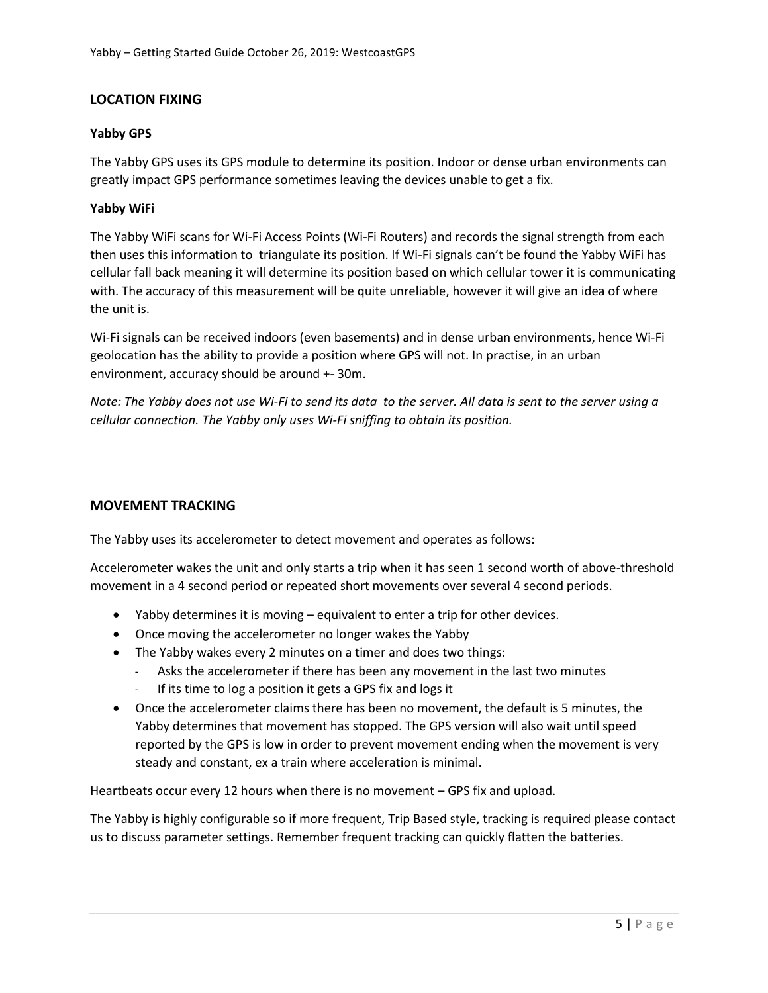# **LOCATION FIXING**

#### **Yabby GPS**

The Yabby GPS uses its GPS module to determine its position. Indoor or dense urban environments can greatly impact GPS performance sometimes leaving the devices unable to get a fix.

#### **Yabby WiFi**

The Yabby WiFi scans for Wi-Fi Access Points (Wi-Fi Routers) and records the signal strength from each then uses this information to triangulate its position. If Wi-Fi signals can't be found the Yabby WiFi has cellular fall back meaning it will determine its position based on which cellular tower it is communicating with. The accuracy of this measurement will be quite unreliable, however it will give an idea of where the unit is.

Wi-Fi signals can be received indoors (even basements) and in dense urban environments, hence Wi-Fi geolocation has the ability to provide a position where GPS will not. In practise, in an urban environment, accuracy should be around +- 30m.

*Note: The Yabby does not use Wi-Fi to send its data to the server. All data is sent to the server using a cellular connection. The Yabby only uses Wi-Fi sniffing to obtain its position.*

#### **MOVEMENT TRACKING**

The Yabby uses its accelerometer to detect movement and operates as follows:

Accelerometer wakes the unit and only starts a trip when it has seen 1 second worth of above-threshold movement in a 4 second period or repeated short movements over several 4 second periods.

- Yabby determines it is moving equivalent to enter a trip for other devices.
- Once moving the accelerometer no longer wakes the Yabby
- The Yabby wakes every 2 minutes on a timer and does two things:
	- Asks the accelerometer if there has been any movement in the last two minutes
	- If its time to log a position it gets a GPS fix and logs it
- Once the accelerometer claims there has been no movement, the default is 5 minutes, the Yabby determines that movement has stopped. The GPS version will also wait until speed reported by the GPS is low in order to prevent movement ending when the movement is very steady and constant, ex a train where acceleration is minimal.

Heartbeats occur every 12 hours when there is no movement – GPS fix and upload.

The Yabby is highly configurable so if more frequent, Trip Based style, tracking is required please contact us to discuss parameter settings. Remember frequent tracking can quickly flatten the batteries.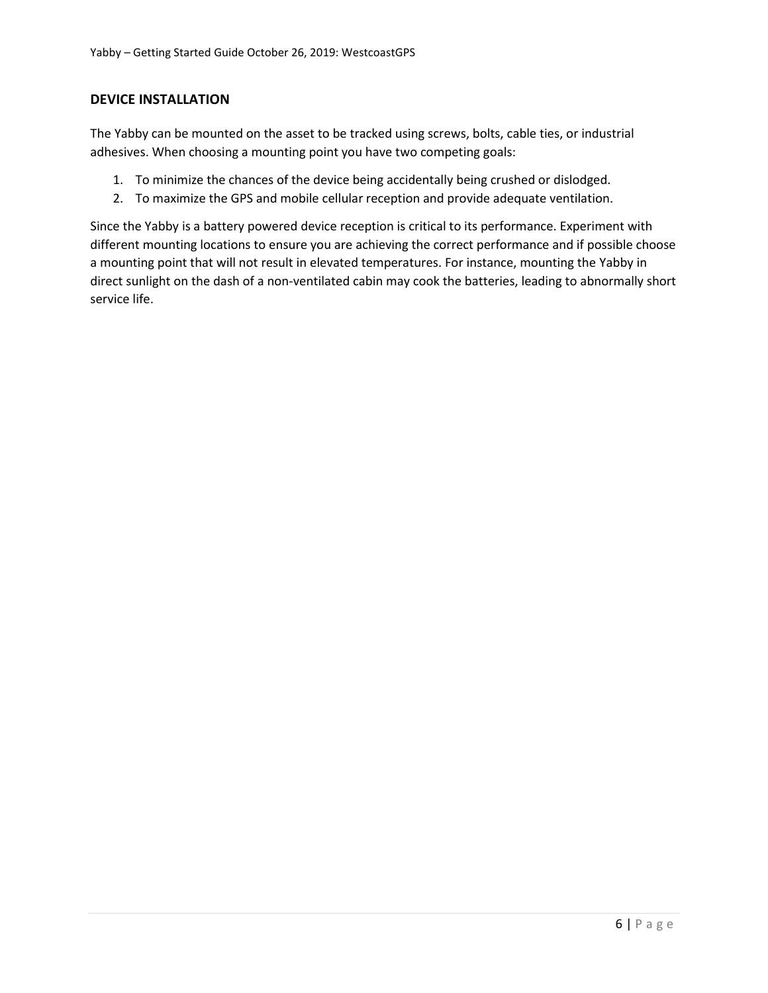# **DEVICE INSTALLATION**

The Yabby can be mounted on the asset to be tracked using screws, bolts, cable ties, or industrial adhesives. When choosing a mounting point you have two competing goals:

- 1. To minimize the chances of the device being accidentally being crushed or dislodged.
- 2. To maximize the GPS and mobile cellular reception and provide adequate ventilation.

Since the Yabby is a battery powered device reception is critical to its performance. Experiment with different mounting locations to ensure you are achieving the correct performance and if possible choose a mounting point that will not result in elevated temperatures. For instance, mounting the Yabby in direct sunlight on the dash of a non-ventilated cabin may cook the batteries, leading to abnormally short service life.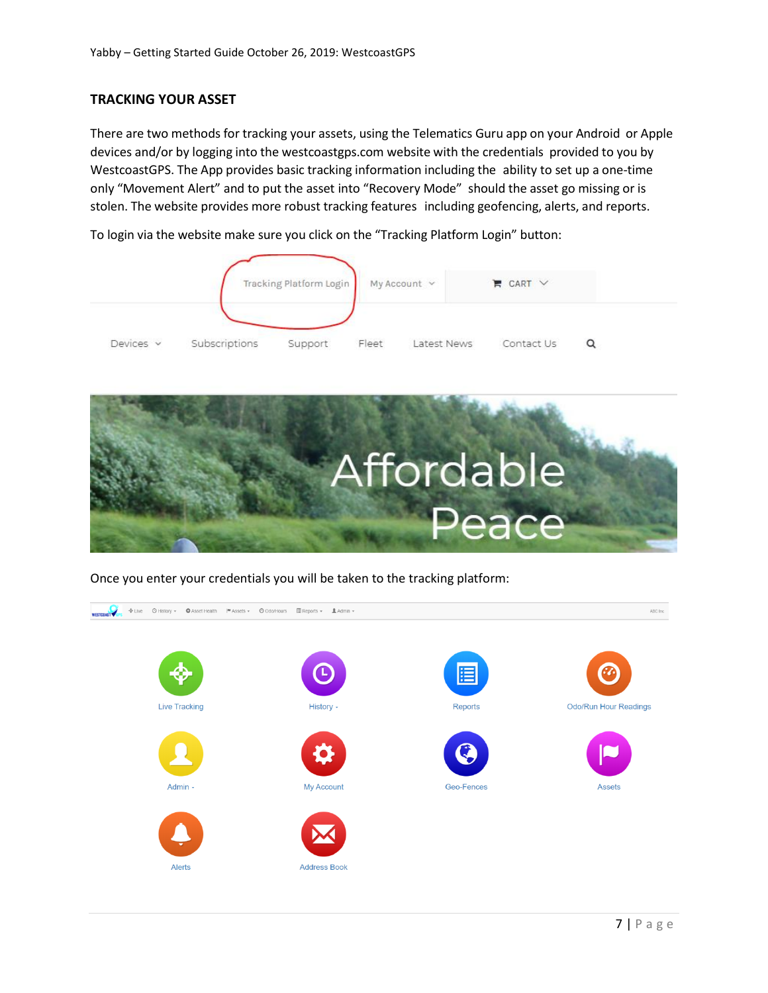# **TRACKING YOUR ASSET**

There are two methods for tracking your assets, using the Telematics Guru app on your Android or Apple devices and/or by logging into the westcoastgps.com website with the credentials provided to you by WestcoastGPS. The App provides basic tracking information including the ability to set up a one-time only "Movement Alert" and to put the asset into "Recovery Mode" should the asset go missing or is stolen. The website provides more robust tracking features including geofencing, alerts, and reports.

To login via the website make sure you click on the "Tracking Platform Login" button:





Once you enter your credentials you will be taken to the tracking platform:

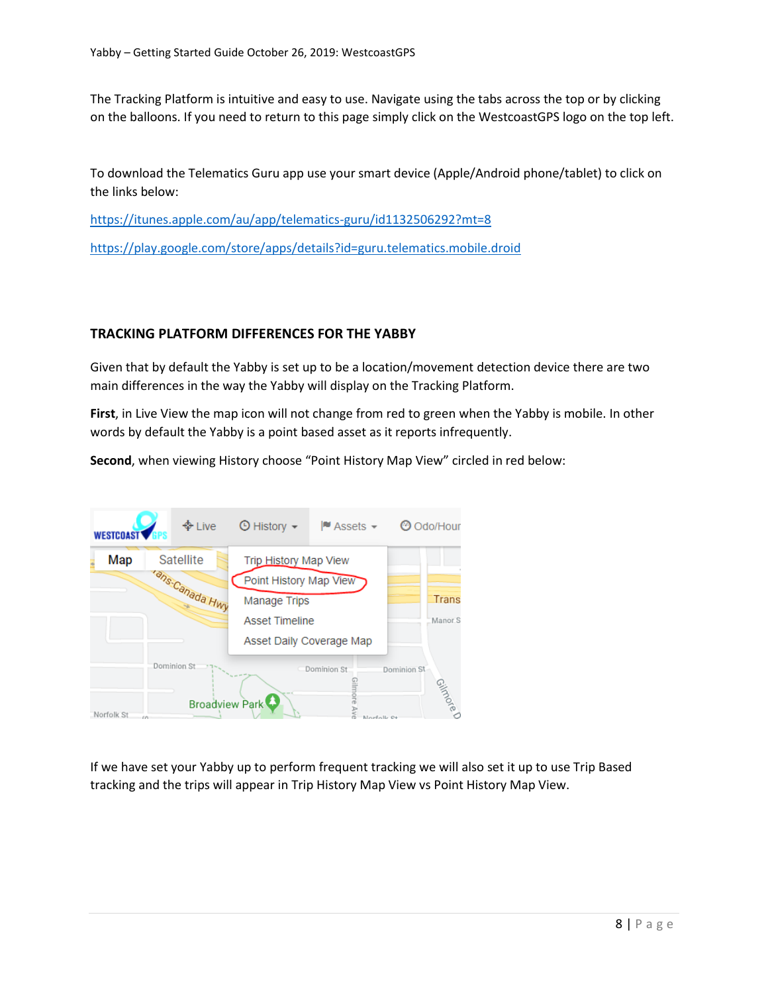The Tracking Platform is intuitive and easy to use. Navigate using the tabs across the top or by clicking on the balloons. If you need to return to this page simply click on the WestcoastGPS logo on the top left.

To download the Telematics Guru app use your smart device (Apple/Android phone/tablet) to click on the links below:

<https://itunes.apple.com/au/app/telematics-guru/id1132506292?mt=8>

<https://play.google.com/store/apps/details?id=guru.telematics.mobile.droid>

#### **TRACKING PLATFORM DIFFERENCES FOR THE YABBY**

Given that by default the Yabby is set up to be a location/movement detection device there are two main differences in the way the Yabby will display on the Tracking Platform.

**First**, in Live View the map icon will not change from red to green when the Yabby is mobile. In other words by default the Yabby is a point based asset as it reports infrequently.

**Second**, when viewing History choose "Point History Map View" circled in red below:



If we have set your Yabby up to perform frequent tracking we will also set it up to use Trip Based tracking and the trips will appear in Trip History Map View vs Point History Map View.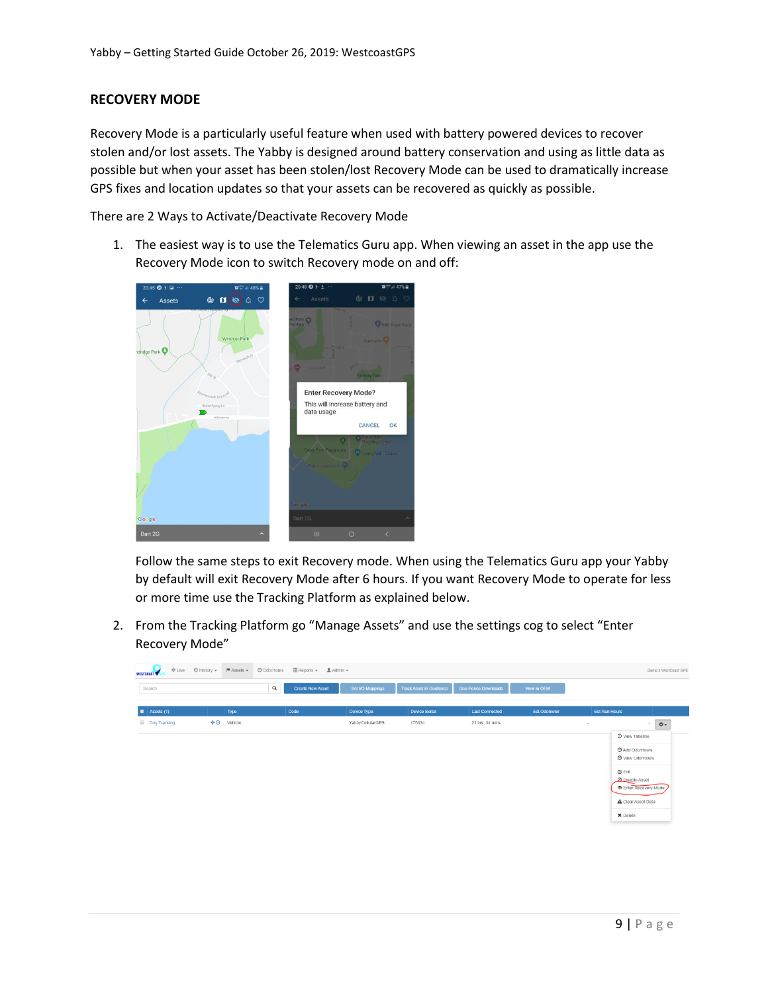# **RECOVERY MODE**

Recovery Mode is a particularly useful feature when used with battery powered devices to recover stolen and/or lost assets. The Yabby is designed around battery conservation and using as little data as possible but when your asset has been stolen/lost Recovery Mode can be used to dramatically increase GPS fixes and location updates so that your assets can be recovered as quickly as possible.

There are 2 Ways to Activate/Deactivate Recovery Mode

1. The easiest way is to use the Telematics Guru app. When viewing an asset in the app use the Recovery Mode icon to switch Recovery mode on and off:



Follow the same steps to exit Recovery mode. When using the Telematics Guru app your Yabby by default will exit Recovery Mode after 6 hours. If you want Recovery Mode to operate for less or more time use the Tracking Platform as explained below.

2. From the Tracking Platform go "Manage Assets" and use the settings cog to select "Enter Recovery Mode"

| $+$ Live<br>WESTCOAST WERE | ⊙ History v   M Assets v |         | O Odo/Hours<br><b>El</b> Reports <del>v</del> <u>■</u> Admin v<br>Demo 3 WestCoast GPS |                  |                                |                            |                     |                      |                                                                                |  |
|----------------------------|--------------------------|---------|----------------------------------------------------------------------------------------|------------------|--------------------------------|----------------------------|---------------------|----------------------|--------------------------------------------------------------------------------|--|
| Search                     |                          | Q       | <b>Create New Asset</b>                                                                | Set I/O Mappings | <b>Track Asset in Geofence</b> | <b>Geo-Fence Downloads</b> | View in OEM         |                      |                                                                                |  |
| $\blacksquare$ Assets (1)  |                          | Type    | Code                                                                                   | Device Type      | <b>Device Serial</b>           | <b>Last Connected</b>      | <b>Est Odometer</b> | <b>Est Run Hours</b> |                                                                                |  |
| <b>Dog Tracking</b>        | $+ \circ$                | Vehicle |                                                                                        | YabbyCellularGPS | 175334                         | 23 hrs, 34 mins            |                     | $\sim$               | 春~<br>$\sim$                                                                   |  |
|                            |                          |         |                                                                                        |                  |                                |                            |                     |                      | <b>O</b> View Timeline                                                         |  |
|                            |                          |         |                                                                                        |                  |                                |                            |                     |                      | Add Odo/Hours<br>O View Odo/Hours                                              |  |
|                            |                          |         |                                                                                        |                  |                                |                            |                     |                      | $G$ Edit<br><b>OD</b> Disable Asset<br>Enter Recovery Mode<br>Clear Asset Data |  |
|                            |                          |         |                                                                                        |                  |                                |                            |                     |                      | X Delete                                                                       |  |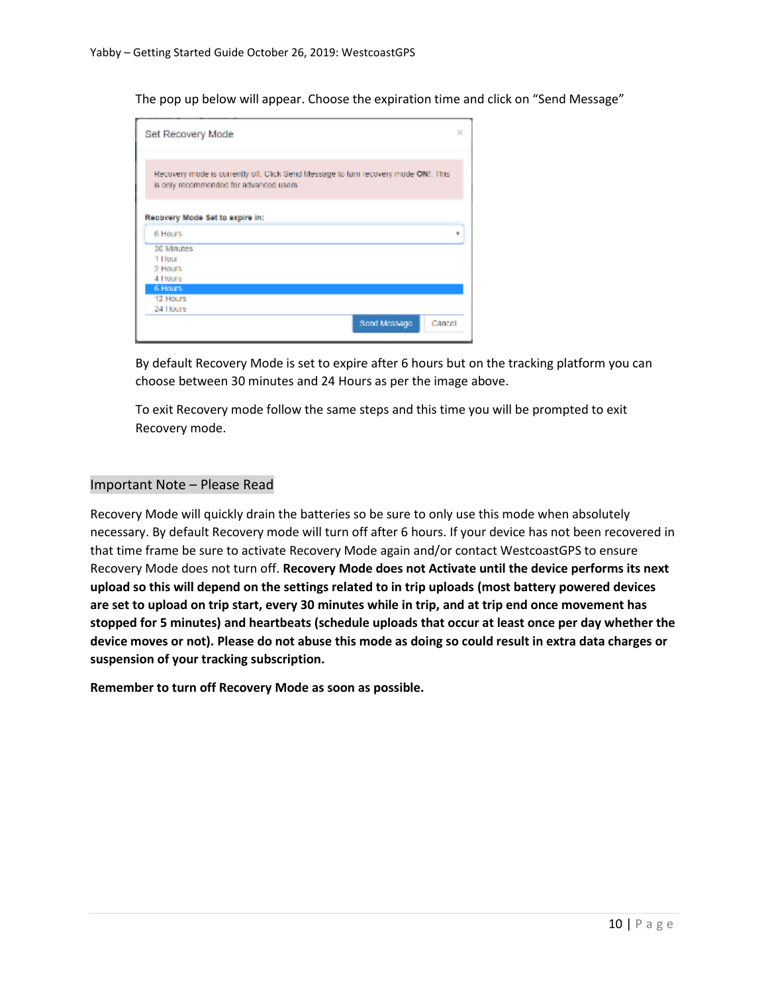The pop up below will appear. Choose the expiration time and click on "Send Message"

| Set Recovery Mode                          |                                                                                                                               |   |
|--------------------------------------------|-------------------------------------------------------------------------------------------------------------------------------|---|
|                                            | Recovery mode is currently oil. Click Send Message to turn recovery mode ONE. This<br>is only recommended for advanced users. |   |
|                                            |                                                                                                                               |   |
| Recovery Mode Set to expire in:<br>6 Hours |                                                                                                                               | w |
| 30 Minutes                                 |                                                                                                                               |   |
| 1 Hour                                     |                                                                                                                               |   |
| 2 Hours<br>4 Hours                         |                                                                                                                               |   |
| 6 Hours                                    |                                                                                                                               |   |
| 12 Hours                                   |                                                                                                                               |   |
| 24 Hours                                   |                                                                                                                               |   |

By default Recovery Mode is set to expire after 6 hours but on the tracking platform you can choose between 30 minutes and 24 Hours as per the image above.

To exit Recovery mode follow the same steps and this time you will be prompted to exit Recovery mode.

#### Important Note – Please Read

Recovery Mode will quickly drain the batteries so be sure to only use this mode when absolutely necessary. By default Recovery mode will turn off after 6 hours. If your device has not been recovered in that time frame be sure to activate Recovery Mode again and/or contact WestcoastGPS to ensure Recovery Mode does not turn off. **Recovery Mode does not Activate until the device performs its next upload so this will depend on the settings related to in trip uploads (most battery powered devices are set to upload on trip start, every 30 minutes while in trip, and at trip end once movement has stopped for 5 minutes) and heartbeats (schedule uploads that occur at least once per day whether the device moves or not). Please do not abuse this mode as doing so could result in extra data charges or suspension of your tracking subscription.**

**Remember to turn off Recovery Mode as soon as possible.**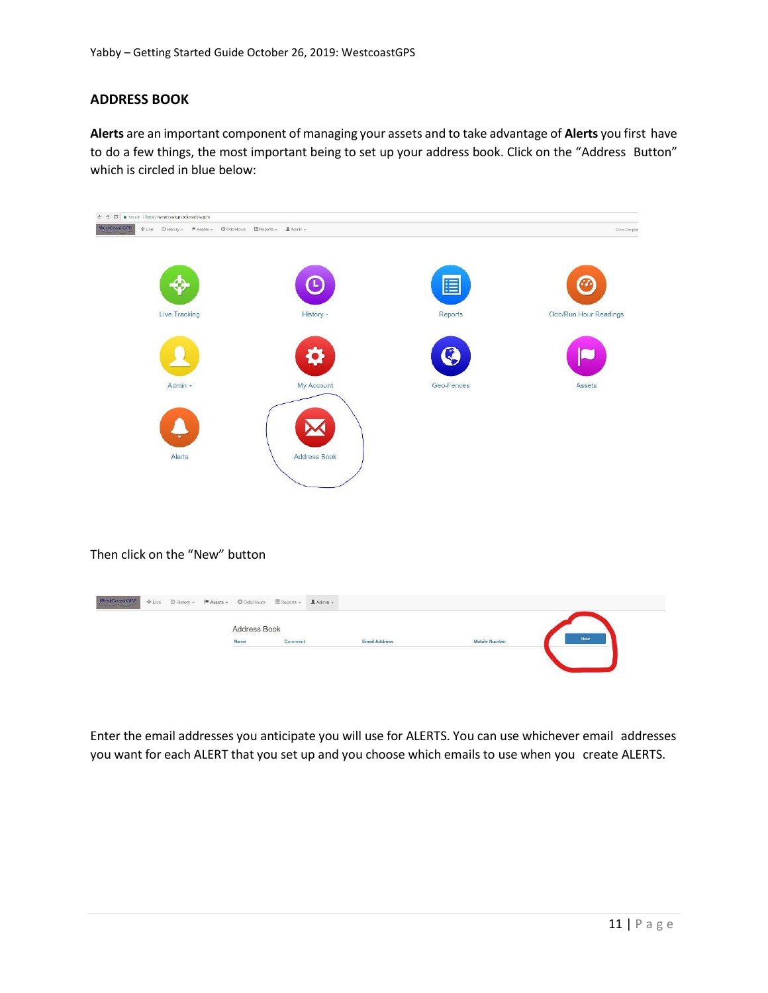# **ADDRESS BOOK**

**Alerts** are an important component of managing your assets and to take advantage of **Alerts** you first have to do a few things, the most important being to set up your address book. Click on the "Address Button" which is circled in blue below:



Enter the email addresses you anticipate you will use for ALERTS. You can use whichever email addresses you want for each ALERT that you set up and you choose which emails to use when you create ALERTS.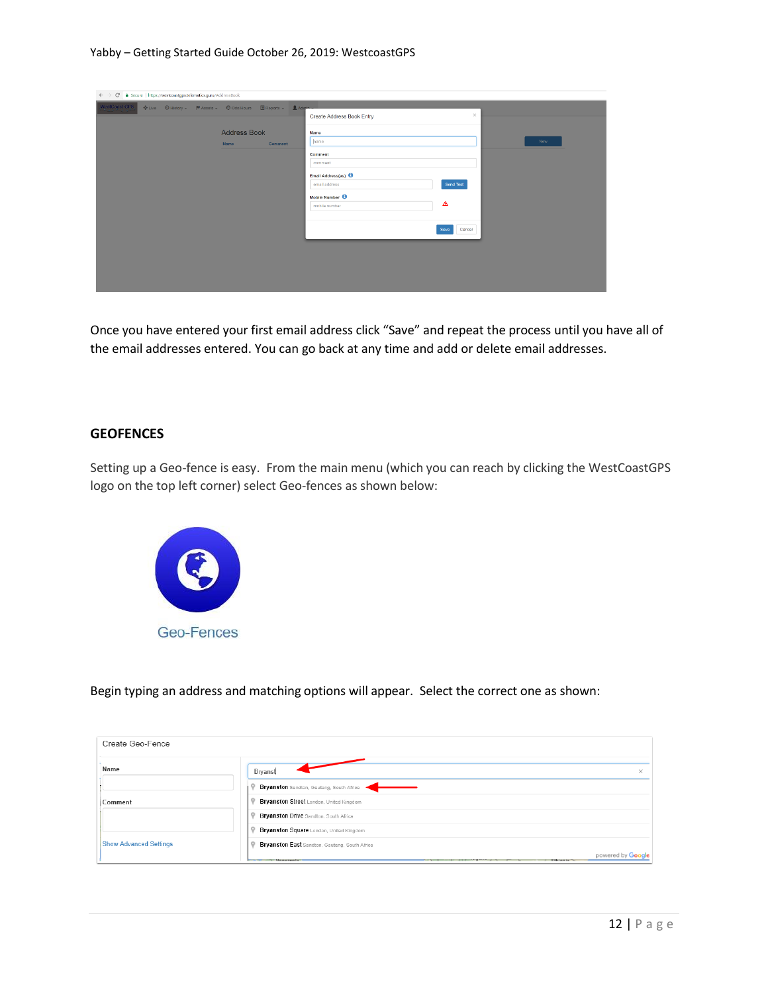#### Yabby – Getting Started Guide October 26, 2019: WestcoastGPS

| $\leftarrow$ $\rightarrow$ $\mathbf{C}$ $\bullet$ Secure   https://westcoastgps.telematics.guru/AddressBook |                                                               |                                             |                |  |  |  |  |
|-------------------------------------------------------------------------------------------------------------|---------------------------------------------------------------|---------------------------------------------|----------------|--|--|--|--|
| WestCoast GPS                                                                                               | + Live © History - M Assets - © OdolHours El Reports - LAdmin |                                             |                |  |  |  |  |
|                                                                                                             |                                                               | Create Address Book Entry                   | $\mathcal{H}$  |  |  |  |  |
|                                                                                                             | <b>Address Book</b>                                           | Name                                        |                |  |  |  |  |
|                                                                                                             | Comment<br><b>Name</b>                                        | hame                                        | Now            |  |  |  |  |
|                                                                                                             |                                                               | Comment                                     |                |  |  |  |  |
|                                                                                                             |                                                               | comment                                     |                |  |  |  |  |
|                                                                                                             |                                                               | Email Address(es)<br>email address          | Send Test      |  |  |  |  |
|                                                                                                             |                                                               |                                             |                |  |  |  |  |
|                                                                                                             |                                                               | Mobile Number <sup>6</sup><br>mobile number | ◬              |  |  |  |  |
|                                                                                                             |                                                               |                                             |                |  |  |  |  |
|                                                                                                             |                                                               |                                             | Cancel<br>Save |  |  |  |  |
|                                                                                                             |                                                               |                                             |                |  |  |  |  |
|                                                                                                             |                                                               |                                             |                |  |  |  |  |
|                                                                                                             |                                                               |                                             |                |  |  |  |  |
|                                                                                                             |                                                               |                                             |                |  |  |  |  |
|                                                                                                             |                                                               |                                             |                |  |  |  |  |

Once you have entered your first email address click "Save" and repeat the process until you have all of the email addresses entered. You can go back at any time and add or delete email addresses.

#### **GEOFENCES**

Setting up a Geo-fence is easy. From the main menu (which you can reach by clicking the WestCoastGPS logo on the top left corner) select Geo-fences as shown below:



Begin typing an address and matching options will appear. Select the correct one as shown:

| Create Geo-Fence              |                                                     |
|-------------------------------|-----------------------------------------------------|
| Name                          | Bryanst<br>$\times$                                 |
|                               | Bryanston Sandton, Gauteng, South Africa            |
| Comment                       | Bryanston Street London, United Kingdom             |
|                               | <b>Bryanston Drive Sandton, South Africa</b>        |
|                               | Bryanston Square London, United Kingdom             |
| <b>Show Advanced Settings</b> | Bryanston East Sandton, Gauteng, South Africa       |
|                               | powered by Google<br>$\mathcal{F}$ . Then a present |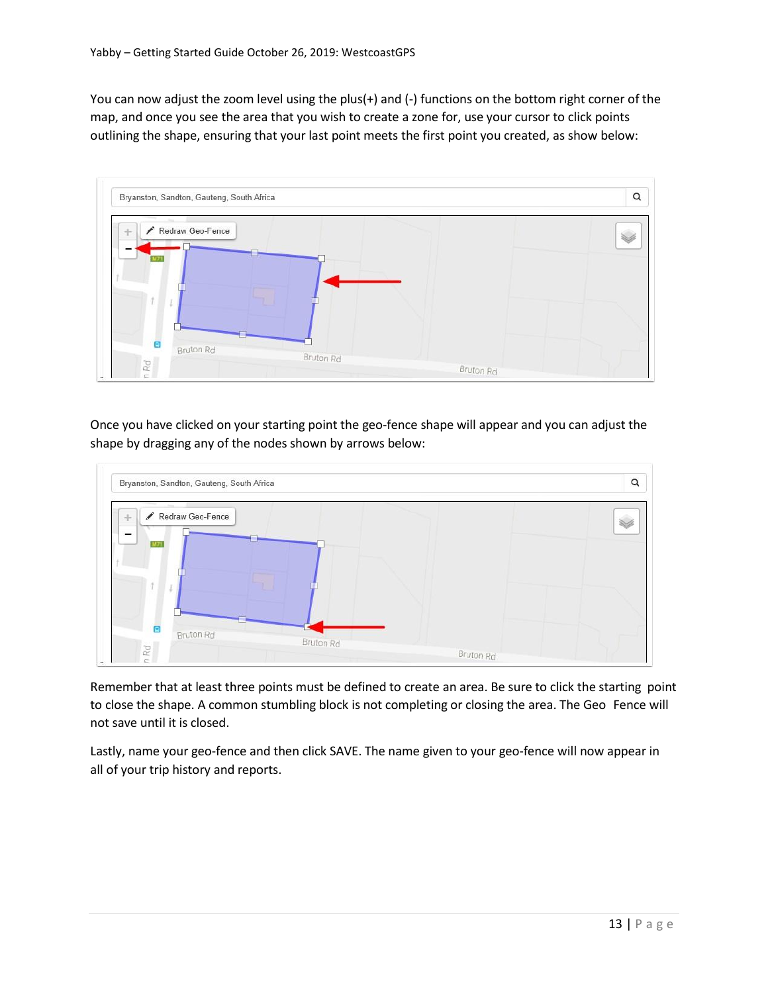You can now adjust the zoom level using the plus(+) and (-) functions on the bottom right corner of the map, and once you see the area that you wish to create a zone for, use your cursor to click points outlining the shape, ensuring that your last point meets the first point you created, as show below:



Once you have clicked on your starting point the geo-fence shape will appear and you can adjust the shape by dragging any of the nodes shown by arrows below:



Remember that at least three points must be defined to create an area. Be sure to click the starting point to close the shape. A common stumbling block is not completing or closing the area. The Geo Fence will not save until it is closed.

Lastly, name your geo-fence and then click SAVE. The name given to your geo-fence will now appear in all of your trip history and reports.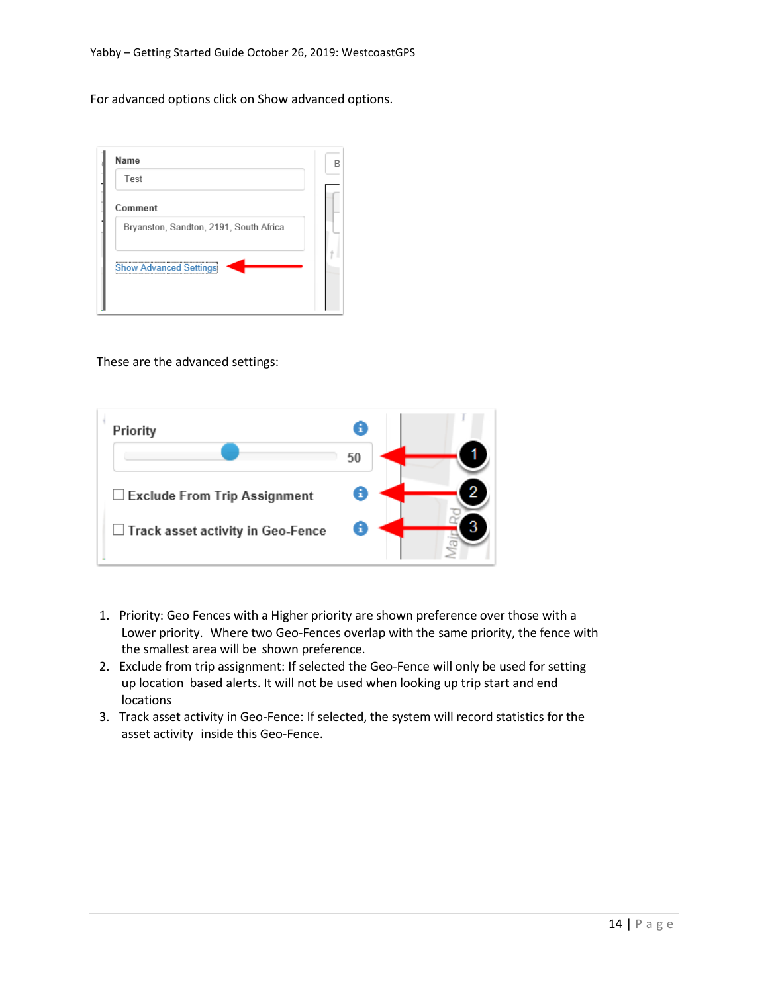For advanced options click on Show advanced options.

| Name                                   | F |
|----------------------------------------|---|
| Test                                   |   |
| Comment                                |   |
| Bryanston, Sandton, 2191, South Africa |   |
| <b>Show Advanced Settings</b>          |   |
|                                        |   |

These are the advanced settings:



- 1. Priority: Geo Fences with a Higher priority are shown preference over those with a Lower priority. Where two Geo-Fences overlap with the same priority, the fence with the smallest area will be shown preference.
- 2. Exclude from trip assignment: If selected the Geo-Fence will only be used for setting up location based alerts. It will not be used when looking up trip start and end locations
- 3. Track asset activity in Geo-Fence: If selected, the system will record statistics for the asset activity inside this Geo-Fence.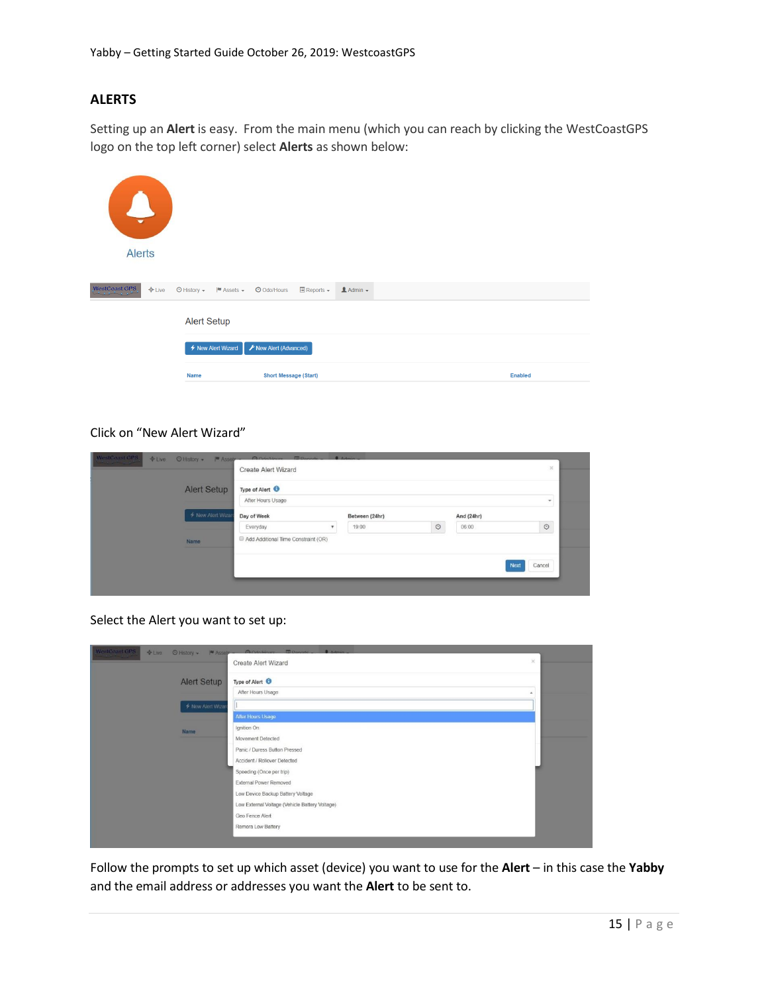# **ALERTS**

Setting up an **Alert** is easy. From the main menu (which you can reach by clicking the WestCoastGPS logo on the top left corner) select **Alerts** as shown below:

| $\mathcal{L}$<br>$\overline{\phantom{a}}$<br><b>Alerts</b> |                                          |                                                             |                  |                |
|------------------------------------------------------------|------------------------------------------|-------------------------------------------------------------|------------------|----------------|
| WestCoast GPS<br>$E = E$                                   | ⊙ History –<br>$M$ Assets $\star$        | O Odo/Hours<br>$\blacksquare$ Reports $\blacktriangleright$ | $A$ Admin $\sim$ |                |
|                                                            | <b>Alert Setup</b><br>← New Alert Wizard | F New Alert (Advanced)                                      |                  |                |
|                                                            | Name                                     | <b>Short Message (Start)</b>                                |                  | <b>Enabled</b> |

#### Click on "New Alert Wizard"

|                   | Create Alert Wizard                 |                           |       |                |            |                       |
|-------------------|-------------------------------------|---------------------------|-------|----------------|------------|-----------------------|
| Alert Setup       | Type of Alert <sup>6</sup>          |                           |       |                |            |                       |
|                   | After Hours Usage                   |                           |       |                |            |                       |
| F New Alert Wizas | Day of Week                         | Between (24hr)            |       |                | And (24hr) |                       |
|                   | Everyday                            | $\boldsymbol{\mathrm{v}}$ | 19:00 | $\circledcirc$ | 06:00      | $\circ$               |
| Name              | Add Additional Time Constraint (OR) |                           |       |                |            |                       |
|                   |                                     |                           |       |                |            | Cancel<br><b>Next</b> |
|                   |                                     |                           |       |                |            |                       |

Select the Alert you want to set up:

| WestCoast GPS | +Live ⊙ History >  ■ Assete - | <b>ACHAINME EDAMNE</b><br>A<br>Create Alert Wizard | × |
|---------------|-------------------------------|----------------------------------------------------|---|
|               | <b>Alert Setup</b>            | Type of Alert <sup>O</sup>                         |   |
|               |                               | After Hours Usage                                  |   |
|               | ← New Alert Wizan             |                                                    |   |
|               |                               | After Hours Usage                                  |   |
|               | Name                          | Ignition On                                        |   |
|               |                               | Movement Detected                                  |   |
|               |                               | Panic / Duress Button Pressed                      |   |
|               |                               | Accident / Rollover Detected                       |   |
|               |                               | Speeding (Once per trip)                           |   |
|               |                               | External Power Removed                             |   |
|               |                               | Low Device Backup Battery Voltage                  |   |
|               |                               | Low External Voltage (Vehicle Battery Voltage)     |   |
|               |                               | Geo Fence Alert                                    |   |
|               |                               | Remora Low Battery                                 |   |

Follow the prompts to set up which asset (device) you want to use for the **Alert** – in this case the **Yabby** and the email address or addresses you want the **Alert** to be sent to.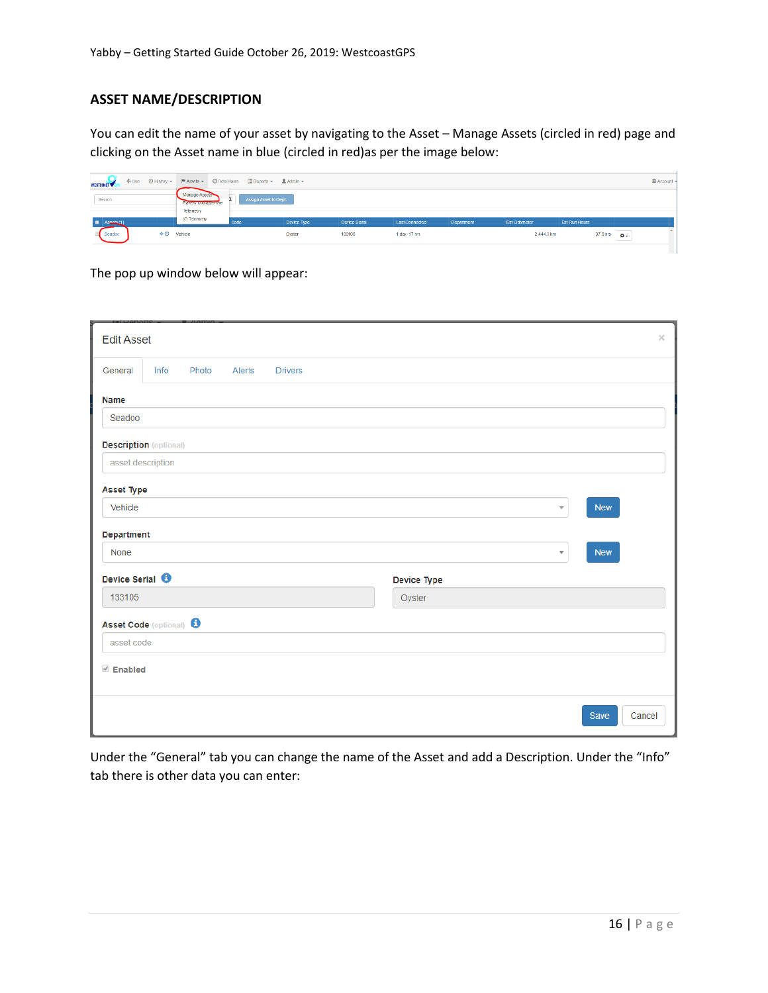# **ASSET NAME/DESCRIPTION**

You can edit the name of your asset by navigating to the Asset – Manage Assets (circled in red) page and clicking on the Asset name in blue (circled in red)as per the image below:

| WESTCOAST <sup>V</sup>                                                       |                                                            |                       |             |               |                |                   |              |                      |          |                                          | <b>C</b> Account |
|------------------------------------------------------------------------------|------------------------------------------------------------|-----------------------|-------------|---------------|----------------|-------------------|--------------|----------------------|----------|------------------------------------------|------------------|
| Search                                                                       | Manage Assets<br><b>В некатальные процесс</b><br>Telemetry | Assign Asset to Dept. |             |               |                |                   |              |                      |          |                                          |                  |
| $\blacksquare$ Assets (1)                                                    | <b>IO Telemetry</b>                                        | Code                  | Device Type | Device Serial | Last Connected | <b>Department</b> | Est Odometer | <b>Est Run Hours</b> |          |                                          |                  |
| $\textcolor{red}{\Phi}\,\textcolor{blue}{\mathbf{\Theta}}$ Vehicle<br>Seadoo |                                                            |                       | Oyster      | 133106        | 1 day, 17 hrs. |                   | 2444.3 km    |                      | 37.9 hrs | $\ddot{o}$ .<br>$\overline{\phantom{a}}$ |                  |
|                                                                              |                                                            |                       |             |               |                |                   |              |                      |          |                                          |                  |

The pop up window below will appear:

| <b>Edit Asset</b>                  |      |       |        |                |  |                       |                         |            | $\times$ |
|------------------------------------|------|-------|--------|----------------|--|-----------------------|-------------------------|------------|----------|
| General                            | Info | Photo | Alerts | <b>Drivers</b> |  |                       |                         |            |          |
| Name                               |      |       |        |                |  |                       |                         |            |          |
| Seadoo                             |      |       |        |                |  |                       |                         |            |          |
| <b>Description</b> (optional)      |      |       |        |                |  |                       |                         |            |          |
| asset description                  |      |       |        |                |  |                       |                         |            |          |
| <b>Asset Type</b>                  |      |       |        |                |  |                       |                         |            |          |
| Vehicle                            |      |       |        |                |  |                       | $\overline{\mathbf v}$  | <b>New</b> |          |
| Department                         |      |       |        |                |  |                       |                         |            |          |
| <b>None</b>                        |      |       |        |                |  |                       | $\overline{\mathbf{v}}$ | <b>New</b> |          |
| Device Serial <sup>6</sup>         |      |       |        |                |  |                       |                         |            |          |
| 133105                             |      |       |        |                |  | Device Type<br>Oyster |                         |            |          |
|                                    |      |       |        |                |  |                       |                         |            |          |
| Asset Code (optional) <sup>6</sup> |      |       |        |                |  |                       |                         |            |          |
| asset code                         |      |       |        |                |  |                       |                         |            |          |
| $\mathscr{P}$ Enabled              |      |       |        |                |  |                       |                         |            |          |
|                                    |      |       |        |                |  |                       |                         |            |          |
|                                    |      |       |        |                |  |                       |                         | Save       | Cancel   |

Under the "General" tab you can change the name of the Asset and add a Description. Under the "Info" tab there is other data you can enter: